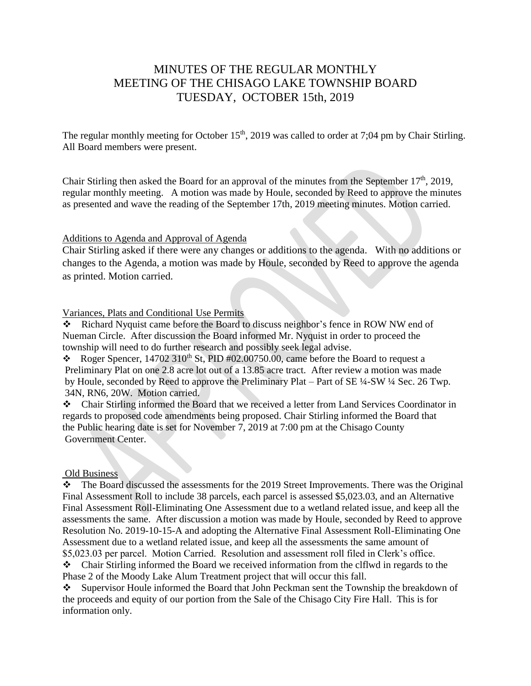# MINUTES OF THE REGULAR MONTHLY MEETING OF THE CHISAGO LAKE TOWNSHIP BOARD TUESDAY, OCTOBER 15th, 2019

The regular monthly meeting for October  $15<sup>th</sup>$ , 2019 was called to order at 7;04 pm by Chair Stirling. All Board members were present.

Chair Stirling then asked the Board for an approval of the minutes from the September  $17<sup>th</sup>$ , 2019, regular monthly meeting. A motion was made by Houle, seconded by Reed to approve the minutes as presented and wave the reading of the September 17th, 2019 meeting minutes. Motion carried.

### Additions to Agenda and Approval of Agenda

Chair Stirling asked if there were any changes or additions to the agenda. With no additions or changes to the Agenda, a motion was made by Houle, seconded by Reed to approve the agenda as printed. Motion carried.

# Variances, Plats and Conditional Use Permits

\* Richard Nyquist came before the Board to discuss neighbor's fence in ROW NW end of Nueman Circle. After discussion the Board informed Mr. Nyquist in order to proceed the township will need to do further research and possibly seek legal advise.

Roger Spencer,  $14702\,310^{th}$  St, PID #02.00750.00, came before the Board to request a Preliminary Plat on one 2.8 acre lot out of a 13.85 acre tract. After review a motion was made by Houle, seconded by Reed to approve the Preliminary Plat – Part of SE ¼-SW ¼ Sec. 26 Twp. 34N, RN6, 20W. Motion carried.

Chair Stirling informed the Board that we received a letter from Land Services Coordinator in regards to proposed code amendments being proposed. Chair Stirling informed the Board that the Public hearing date is set for November 7, 2019 at 7:00 pm at the Chisago County Government Center.

### Old Business

\* The Board discussed the assessments for the 2019 Street Improvements. There was the Original Final Assessment Roll to include 38 parcels, each parcel is assessed \$5,023.03, and an Alternative Final Assessment Roll-Eliminating One Assessment due to a wetland related issue, and keep all the assessments the same. After discussion a motion was made by Houle, seconded by Reed to approve Resolution No. 2019-10-15-A and adopting the Alternative Final Assessment Roll-Eliminating One Assessment due to a wetland related issue, and keep all the assessments the same amount of \$5,023.03 per parcel. Motion Carried. Resolution and assessment roll filed in Clerk's office.

Chair Stirling informed the Board we received information from the clflwd in regards to the Phase 2 of the Moody Lake Alum Treatment project that will occur this fall.

Supervisor Houle informed the Board that John Peckman sent the Township the breakdown of the proceeds and equity of our portion from the Sale of the Chisago City Fire Hall. This is for information only.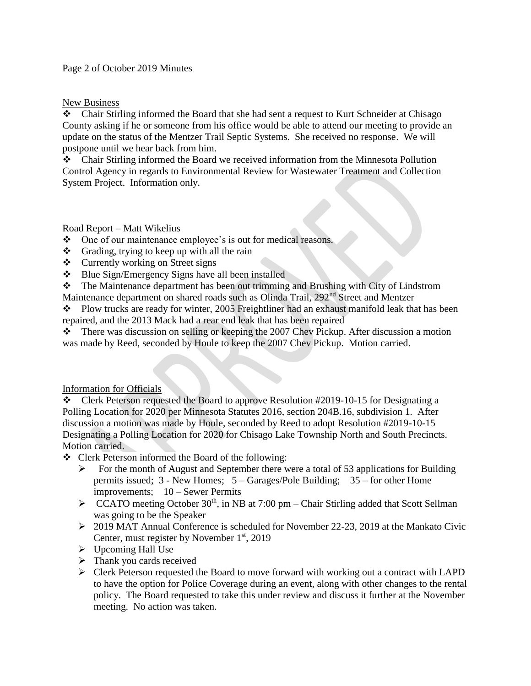### Page 2 of October 2019 Minutes

# New Business

Chair Stirling informed the Board that she had sent a request to Kurt Schneider at Chisago County asking if he or someone from his office would be able to attend our meeting to provide an update on the status of the Mentzer Trail Septic Systems. She received no response. We will postpone until we hear back from him.

Chair Stirling informed the Board we received information from the Minnesota Pollution Control Agency in regards to Environmental Review for Wastewater Treatment and Collection System Project. Information only.

# Road Report – Matt Wikelius

- One of our maintenance employee's is out for medical reasons.
- $\triangleleft$  Grading, trying to keep up with all the rain
- $\triangleleft$  Currently working on Street signs
- ❖ Blue Sign/Emergency Signs have all been installed
- The Maintenance department has been out trimming and Brushing with City of Lindstrom
- Maintenance department on shared roads such as Olinda Trail, 292<sup>nd</sup> Street and Mentzer

• Plow trucks are ready for winter, 2005 Freightliner had an exhaust manifold leak that has been repaired, and the 2013 Mack had a rear end leak that has been repaired

 $\bullet$  There was discussion on selling or keeping the 2007 Chev Pickup. After discussion a motion was made by Reed, seconded by Houle to keep the 2007 Chev Pickup. Motion carried.

### Information for Officials

Clerk Peterson requested the Board to approve Resolution #2019-10-15 for Designating a Polling Location for 2020 per Minnesota Statutes 2016, section 204B.16, subdivision 1. After discussion a motion was made by Houle, seconded by Reed to adopt Resolution #2019-10-15 Designating a Polling Location for 2020 for Chisago Lake Township North and South Precincts. Motion carried.

Clerk Peterson informed the Board of the following:

- $\triangleright$  For the month of August and September there were a total of 53 applications for Building permits issued; 3 - New Homes; 5 – Garages/Pole Building; 35 – for other Home improvements; 10 – Sewer Permits
- $\triangleright$  CCATO meeting October 30<sup>th</sup>, in NB at 7:00 pm Chair Stirling added that Scott Sellman was going to be the Speaker
- 2019 MAT Annual Conference is scheduled for November 22-23, 2019 at the Mankato Civic Center, must register by November  $1<sup>st</sup>$ , 2019
- $\triangleright$  Upcoming Hall Use
- $\triangleright$  Thank you cards received
- $\triangleright$  Clerk Peterson requested the Board to move forward with working out a contract with LAPD to have the option for Police Coverage during an event, along with other changes to the rental policy. The Board requested to take this under review and discuss it further at the November meeting. No action was taken.